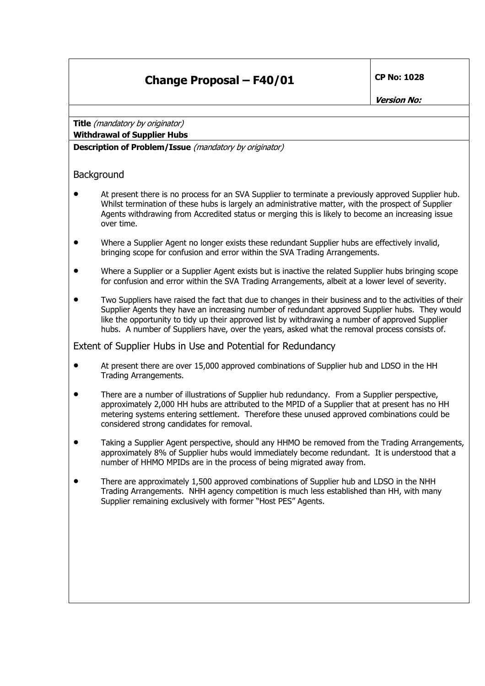## **Change Proposal – F40/01** CP No: 1028

**Version No:** 

**Title** (mandatory by originator) **Withdrawal of Supplier Hubs**

**Description of Problem/Issue** (mandatory by originator)

## **Background**

- At present there is no process for an SVA Supplier to terminate a previously approved Supplier hub. Whilst termination of these hubs is largely an administrative matter, with the prospect of Supplier Agents withdrawing from Accredited status or merging this is likely to become an increasing issue over time.
- Where a Supplier Agent no longer exists these redundant Supplier hubs are effectively invalid, bringing scope for confusion and error within the SVA Trading Arrangements.
- Where a Supplier or a Supplier Agent exists but is inactive the related Supplier hubs bringing scope for confusion and error within the SVA Trading Arrangements, albeit at a lower level of severity.
- Two Suppliers have raised the fact that due to changes in their business and to the activities of their Supplier Agents they have an increasing number of redundant approved Supplier hubs. They would like the opportunity to tidy up their approved list by withdrawing a number of approved Supplier hubs. A number of Suppliers have, over the years, asked what the removal process consists of.

Extent of Supplier Hubs in Use and Potential for Redundancy

- At present there are over 15,000 approved combinations of Supplier hub and LDSO in the HH Trading Arrangements.
- There are a number of illustrations of Supplier hub redundancy. From a Supplier perspective, approximately 2,000 HH hubs are attributed to the MPID of a Supplier that at present has no HH metering systems entering settlement. Therefore these unused approved combinations could be considered strong candidates for removal.
- Taking a Supplier Agent perspective, should any HHMO be removed from the Trading Arrangements, approximately 8% of Supplier hubs would immediately become redundant. It is understood that a number of HHMO MPIDs are in the process of being migrated away from.
- There are approximately 1,500 approved combinations of Supplier hub and LDSO in the NHH Trading Arrangements. NHH agency competition is much less established than HH, with many Supplier remaining exclusively with former "Host PES" Agents.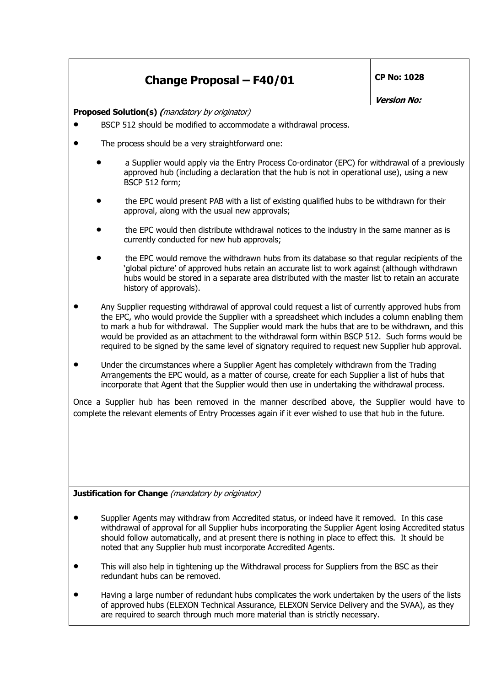## **Change Proposal – F40/01 CP No: 1028**

**Version No:** 

**Proposed Solution(s)** (*mandatory by originator*)

- BSCP 512 should be modified to accommodate a withdrawal process.
- The process should be a very straightforward one:
	- a Supplier would apply via the Entry Process Co-ordinator (EPC) for withdrawal of a previously approved hub (including a declaration that the hub is not in operational use), using a new BSCP 512 form;
	- the EPC would present PAB with a list of existing qualified hubs to be withdrawn for their approval, along with the usual new approvals;
	- the EPC would then distribute withdrawal notices to the industry in the same manner as is currently conducted for new hub approvals;
	- the EPC would remove the withdrawn hubs from its database so that regular recipients of the 'global picture' of approved hubs retain an accurate list to work against (although withdrawn hubs would be stored in a separate area distributed with the master list to retain an accurate history of approvals).
- Any Supplier requesting withdrawal of approval could request a list of currently approved hubs from the EPC, who would provide the Supplier with a spreadsheet which includes a column enabling them to mark a hub for withdrawal. The Supplier would mark the hubs that are to be withdrawn, and this would be provided as an attachment to the withdrawal form within BSCP 512. Such forms would be required to be signed by the same level of signatory required to request new Supplier hub approval.
- Under the circumstances where a Supplier Agent has completely withdrawn from the Trading Arrangements the EPC would, as a matter of course, create for each Supplier a list of hubs that incorporate that Agent that the Supplier would then use in undertaking the withdrawal process.

Once a Supplier hub has been removed in the manner described above, the Supplier would have to complete the relevant elements of Entry Processes again if it ever wished to use that hub in the future.

**Justification for Change** (mandatory by originator)

- Supplier Agents may withdraw from Accredited status, or indeed have it removed. In this case withdrawal of approval for all Supplier hubs incorporating the Supplier Agent losing Accredited status should follow automatically, and at present there is nothing in place to effect this. It should be noted that any Supplier hub must incorporate Accredited Agents.
- This will also help in tightening up the Withdrawal process for Suppliers from the BSC as their redundant hubs can be removed.
- Having a large number of redundant hubs complicates the work undertaken by the users of the lists of approved hubs (ELEXON Technical Assurance, ELEXON Service Delivery and the SVAA), as they are required to search through much more material than is strictly necessary.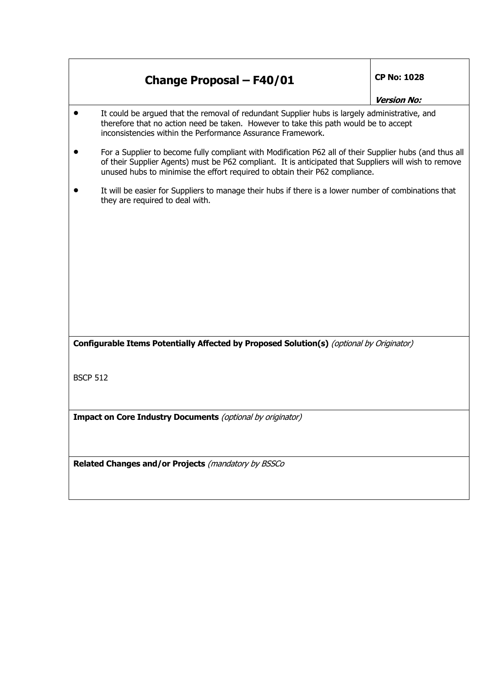|                 | <b>Change Proposal - F40/01</b>                                                                                                                                                                                                                                                                 | <b>CP No: 1028</b> |  |
|-----------------|-------------------------------------------------------------------------------------------------------------------------------------------------------------------------------------------------------------------------------------------------------------------------------------------------|--------------------|--|
|                 |                                                                                                                                                                                                                                                                                                 | <b>Version No:</b> |  |
|                 | It could be argued that the removal of redundant Supplier hubs is largely administrative, and<br>therefore that no action need be taken. However to take this path would be to accept<br>inconsistencies within the Performance Assurance Framework.                                            |                    |  |
|                 | For a Supplier to become fully compliant with Modification P62 all of their Supplier hubs (and thus all<br>of their Supplier Agents) must be P62 compliant. It is anticipated that Suppliers will wish to remove<br>unused hubs to minimise the effort required to obtain their P62 compliance. |                    |  |
|                 | It will be easier for Suppliers to manage their hubs if there is a lower number of combinations that<br>they are required to deal with.                                                                                                                                                         |                    |  |
|                 |                                                                                                                                                                                                                                                                                                 |                    |  |
|                 |                                                                                                                                                                                                                                                                                                 |                    |  |
|                 |                                                                                                                                                                                                                                                                                                 |                    |  |
|                 |                                                                                                                                                                                                                                                                                                 |                    |  |
|                 |                                                                                                                                                                                                                                                                                                 |                    |  |
|                 | Configurable Items Potentially Affected by Proposed Solution(s) (optional by Originator)                                                                                                                                                                                                        |                    |  |
| <b>BSCP 512</b> |                                                                                                                                                                                                                                                                                                 |                    |  |
|                 |                                                                                                                                                                                                                                                                                                 |                    |  |
|                 |                                                                                                                                                                                                                                                                                                 |                    |  |
|                 | <b>Impact on Core Industry Documents</b> (optional by originator)                                                                                                                                                                                                                               |                    |  |
|                 |                                                                                                                                                                                                                                                                                                 |                    |  |
|                 | Related Changes and/or Projects (mandatory by BSSCo                                                                                                                                                                                                                                             |                    |  |